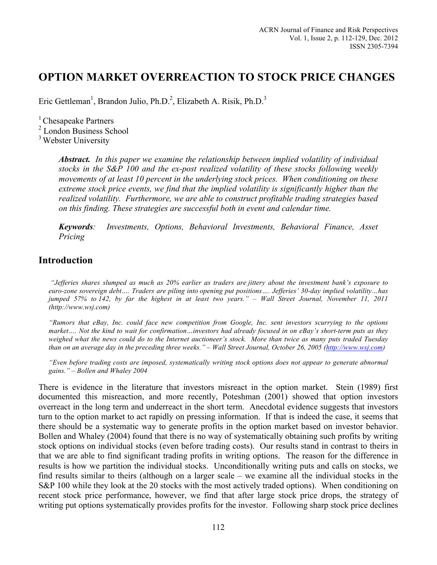Eric Gettleman<sup>1</sup>, Brandon Julio, Ph.D.<sup>2</sup>, Elizabeth A. Risik, Ph.D.<sup>3</sup>

 $<sup>1</sup>$  Chesapeake Partners</sup>

<sup>2</sup> London Business School

<sup>3</sup> Webster University

*Abstract. In this paper we examine the relationship between implied volatility of individual stocks in the S&P 100 and the ex-post realized volatility of these stocks following weekly movements of at least 10 percent in the underlying stock prices. When conditioning on these extreme stock price events, we find that the implied volatility is significantly higher than the realized volatility. Furthermore, we are able to construct profitable trading strategies based on this finding. These strategies are successful both in event and calendar time.* 

*Keywords: Investments, Options, Behavioral Investments, Behavioral Finance, Asset Pricing* 

# **Introduction**

*"Jefferies shares slumped as much as 20% earlier as traders are jittery about the investment bank's exposure to euro-zone sovereign debt…. Traders are piling into opening put positions…. Jefferies' 30-day implied volatility…has jumped 57% to 142, by far the highest in at least two years." – Wall Street Journal, November 11, 2011 (http://www.wsj.com)*

*"Rumors that eBay, Inc. could face new competition from Google, Inc. sent investors scurrying to the options market…. Not the kind to wait for confirmation…investors had already focused in on eBay's short-term puts as they weighed what the news could do to the Internet auctioneer's stock. More than twice as many puts traded Tuesday than on an average day in the preceding three weeks." – Wall Street Journal, October 26, 2005 (http://www.wsj.com)*

*"Even before trading costs are imposed, systematically writing stock options does not appear to generate abnormal gains." – Bollen and Whaley 2004*

There is evidence in the literature that investors misreact in the option market. Stein (1989) first documented this misreaction, and more recently, Poteshman (2001) showed that option investors overreact in the long term and underreact in the short term. Anecdotal evidence suggests that investors turn to the option market to act rapidly on pressing information. If that is indeed the case, it seems that there should be a systematic way to generate profits in the option market based on investor behavior. Bollen and Whaley (2004) found that there is no way of systematically obtaining such profits by writing stock options on individual stocks (even before trading costs). Our results stand in contrast to theirs in that we are able to find significant trading profits in writing options. The reason for the difference in results is how we partition the individual stocks. Unconditionally writing puts and calls on stocks, we find results similar to theirs (although on a larger scale – we examine all the individual stocks in the S&P 100 while they look at the 20 stocks with the most actively traded options). When conditioning on recent stock price performance, however, we find that after large stock price drops, the strategy of writing put options systematically provides profits for the investor. Following sharp stock price declines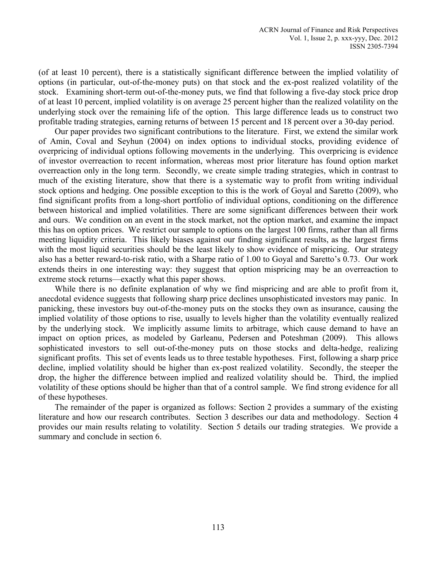(of at least 10 percent), there is a statistically significant difference between the implied volatility of options (in particular, out-of-the-money puts) on that stock and the ex-post realized volatility of the stock. Examining short-term out-of-the-money puts, we find that following a five-day stock price drop of at least 10 percent, implied volatility is on average 25 percent higher than the realized volatility on the underlying stock over the remaining life of the option. This large difference leads us to construct two profitable trading strategies, earning returns of between 15 percent and 18 percent over a 30-day period.

Our paper provides two significant contributions to the literature. First, we extend the similar work of Amin, Coval and Seyhun (2004) on index options to individual stocks, providing evidence of overpricing of individual options following movements in the underlying. This overpricing is evidence of investor overreaction to recent information, whereas most prior literature has found option market overreaction only in the long term. Secondly, we create simple trading strategies, which in contrast to much of the existing literature, show that there is a systematic way to profit from writing individual stock options and hedging. One possible exception to this is the work of Goyal and Saretto (2009), who find significant profits from a long-short portfolio of individual options, conditioning on the difference between historical and implied volatilities. There are some significant differences between their work and ours. We condition on an event in the stock market, not the option market, and examine the impact this has on option prices. We restrict our sample to options on the largest 100 firms, rather than all firms meeting liquidity criteria. This likely biases against our finding significant results, as the largest firms with the most liquid securities should be the least likely to show evidence of mispricing. Our strategy also has a better reward-to-risk ratio, with a Sharpe ratio of 1.00 to Goyal and Saretto's 0.73. Our work extends theirs in one interesting way: they suggest that option mispricing may be an overreaction to extreme stock returns—exactly what this paper shows.

While there is no definite explanation of why we find mispricing and are able to profit from it, anecdotal evidence suggests that following sharp price declines unsophisticated investors may panic. In panicking, these investors buy out-of-the-money puts on the stocks they own as insurance, causing the implied volatility of those options to rise, usually to levels higher than the volatility eventually realized by the underlying stock. We implicitly assume limits to arbitrage, which cause demand to have an impact on option prices, as modeled by Garleanu, Pedersen and Poteshman (2009). This allows sophisticated investors to sell out-of-the-money puts on those stocks and delta-hedge, realizing significant profits. This set of events leads us to three testable hypotheses. First, following a sharp price decline, implied volatility should be higher than ex-post realized volatility. Secondly, the steeper the drop, the higher the difference between implied and realized volatility should be. Third, the implied volatility of these options should be higher than that of a control sample. We find strong evidence for all of these hypotheses.

The remainder of the paper is organized as follows: Section 2 provides a summary of the existing literature and how our research contributes. Section 3 describes our data and methodology. Section 4 provides our main results relating to volatility. Section 5 details our trading strategies. We provide a summary and conclude in section 6.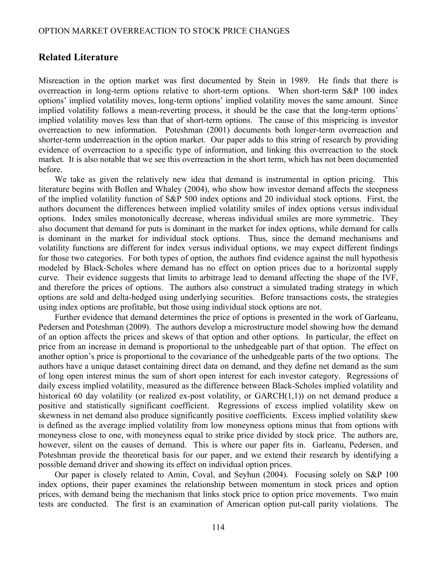### **Related Literature**

Misreaction in the option market was first documented by Stein in 1989. He finds that there is overreaction in long-term options relative to short-term options. When short-term S&P 100 index options' implied volatility moves, long-term options' implied volatility moves the same amount. Since implied volatility follows a mean-reverting process, it should be the case that the long-term options' implied volatility moves less than that of short-term options. The cause of this mispricing is investor overreaction to new information. Poteshman (2001) documents both longer-term overreaction and shorter-term underreaction in the option market. Our paper adds to this string of research by providing evidence of overreaction to a specific type of information, and linking this overreaction to the stock market. It is also notable that we see this overreaction in the short term, which has not been documented before.

We take as given the relatively new idea that demand is instrumental in option pricing. This literature begins with Bollen and Whaley (2004), who show how investor demand affects the steepness of the implied volatility function of S&P 500 index options and 20 individual stock options. First, the authors document the differences between implied volatility smiles of index options versus individual options. Index smiles monotonically decrease, whereas individual smiles are more symmetric. They also document that demand for puts is dominant in the market for index options, while demand for calls is dominant in the market for individual stock options. Thus, since the demand mechanisms and volatility functions are different for index versus individual options, we may expect different findings for those two categories. For both types of option, the authors find evidence against the null hypothesis modeled by Black-Scholes where demand has no effect on option prices due to a horizontal supply curve. Their evidence suggests that limits to arbitrage lead to demand affecting the shape of the IVF, and therefore the prices of options. The authors also construct a simulated trading strategy in which options are sold and delta-hedged using underlying securities. Before transactions costs, the strategies using index options are profitable, but those using individual stock options are not.

Further evidence that demand determines the price of options is presented in the work of Garleanu, Pedersen and Poteshman (2009). The authors develop a microstructure model showing how the demand of an option affects the prices and skews of that option and other options. In particular, the effect on price from an increase in demand is proportional to the unhedgeable part of that option. The effect on another option's price is proportional to the covariance of the unhedgeable parts of the two options. The authors have a unique dataset containing direct data on demand, and they define net demand as the sum of long open interest minus the sum of short open interest for each investor category. Regressions of daily excess implied volatility, measured as the difference between Black-Scholes implied volatility and historical 60 day volatility (or realized ex-post volatility, or GARCH(1,1)) on net demand produce a positive and statistically significant coefficient. Regressions of excess implied volatility skew on skewness in net demand also produce significantly positive coefficients. Excess implied volatility skew is defined as the average implied volatility from low moneyness options minus that from options with moneyness close to one, with moneyness equal to strike price divided by stock price. The authors are, however, silent on the causes of demand. This is where our paper fits in. Garleanu, Pedersen, and Poteshman provide the theoretical basis for our paper, and we extend their research by identifying a possible demand driver and showing its effect on individual option prices.

Our paper is closely related to Amin, Coval, and Seyhun (2004). Focusing solely on S&P 100 index options, their paper examines the relationship between momentum in stock prices and option prices, with demand being the mechanism that links stock price to option price movements. Two main tests are conducted. The first is an examination of American option put-call parity violations. The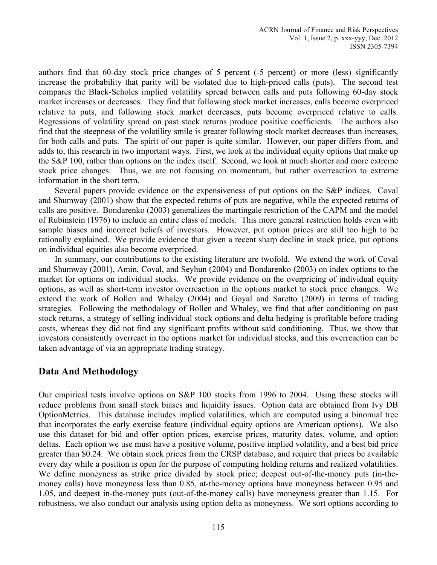authors find that 60-day stock price changes of 5 percent (-5 percent) or more (less) significantly increase the probability that parity will be violated due to high-priced calls (puts). The second test compares the Black-Scholes implied volatility spread between calls and puts following 60-day stock market increases or decreases. They find that following stock market increases, calls become overpriced relative to puts, and following stock market decreases, puts become overpriced relative to calls. Regressions of volatility spread on past stock returns produce positive coefficients. The authors also find that the steepness of the volatility smile is greater following stock market decreases than increases, for both calls and puts. The spirit of our paper is quite similar. However, our paper differs from, and adds to, this research in two important ways. First, we look at the individual equity options that make up the S&P 100, rather than options on the index itself. Second, we look at much shorter and more extreme stock price changes. Thus, we are not focusing on momentum, but rather overreaction to extreme information in the short term.

Several papers provide evidence on the expensiveness of put options on the S&P indices. Coval and Shumway (2001) show that the expected returns of puts are negative, while the expected returns of calls are positive. Bondarenko (2003) generalizes the martingale restriction of the CAPM and the model of Rubinstein (1976) to include an entire class of models. This more general restriction holds even with sample biases and incorrect beliefs of investors. However, put option prices are still too high to be rationally explained. We provide evidence that given a recent sharp decline in stock price, put options on individual equities also become overpriced.

In summary, our contributions to the existing literature are twofold. We extend the work of Coval and Shumway (2001), Amin, Coval, and Seyhun (2004) and Bondarenko (2003) on index options to the market for options on individual stocks. We provide evidence on the overpricing of individual equity options, as well as short-term investor overreaction in the options market to stock price changes. We extend the work of Bollen and Whaley (2004) and Goyal and Saretto (2009) in terms of trading strategies. Following the methodology of Bollen and Whaley, we find that after conditioning on past stock returns, a strategy of selling individual stock options and delta hedging is profitable before trading costs, whereas they did not find any significant profits without said conditioning. Thus, we show that investors consistently overreact in the options market for individual stocks, and this overreaction can be taken advantage of via an appropriate trading strategy.

### **Data And Methodology**

Our empirical tests involve options on S&P 100 stocks from 1996 to 2004. Using these stocks will reduce problems from small stock biases and liquidity issues. Option data are obtained from Ivy DB OptionMetrics. This database includes implied volatilities, which are computed using a binomial tree that incorporates the early exercise feature (individual equity options are American options). We also use this dataset for bid and offer option prices, exercise prices, maturity dates, volume, and option deltas. Each option we use must have a positive volume, positive implied volatility, and a best bid price greater than \$0.24. We obtain stock prices from the CRSP database, and require that prices be available every day while a position is open for the purpose of computing holding returns and realized volatilities. We define moneyness as strike price divided by stock price; deepest out-of-the-money puts (in-themoney calls) have moneyness less than 0.85, at-the-money options have moneyness between 0.95 and 1.05, and deepest in-the-money puts (out-of-the-money calls) have moneyness greater than 1.15. For robustness, we also conduct our analysis using option delta as moneyness. We sort options according to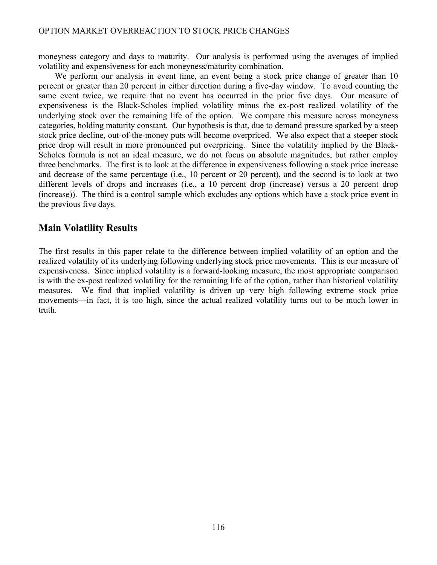moneyness category and days to maturity. Our analysis is performed using the averages of implied volatility and expensiveness for each moneyness/maturity combination.

We perform our analysis in event time, an event being a stock price change of greater than 10 percent or greater than 20 percent in either direction during a five-day window. To avoid counting the same event twice, we require that no event has occurred in the prior five days. Our measure of expensiveness is the Black-Scholes implied volatility minus the ex-post realized volatility of the underlying stock over the remaining life of the option. We compare this measure across moneyness categories, holding maturity constant. Our hypothesis is that, due to demand pressure sparked by a steep stock price decline, out-of-the-money puts will become overpriced. We also expect that a steeper stock price drop will result in more pronounced put overpricing. Since the volatility implied by the Black-Scholes formula is not an ideal measure, we do not focus on absolute magnitudes, but rather employ three benchmarks. The first is to look at the difference in expensiveness following a stock price increase and decrease of the same percentage (i.e., 10 percent or 20 percent), and the second is to look at two different levels of drops and increases (i.e., a 10 percent drop (increase) versus a 20 percent drop (increase)). The third is a control sample which excludes any options which have a stock price event in the previous five days.

# **Main Volatility Results**

The first results in this paper relate to the difference between implied volatility of an option and the realized volatility of its underlying following underlying stock price movements. This is our measure of expensiveness. Since implied volatility is a forward-looking measure, the most appropriate comparison is with the ex-post realized volatility for the remaining life of the option, rather than historical volatility measures. We find that implied volatility is driven up very high following extreme stock price movements—in fact, it is too high, since the actual realized volatility turns out to be much lower in truth.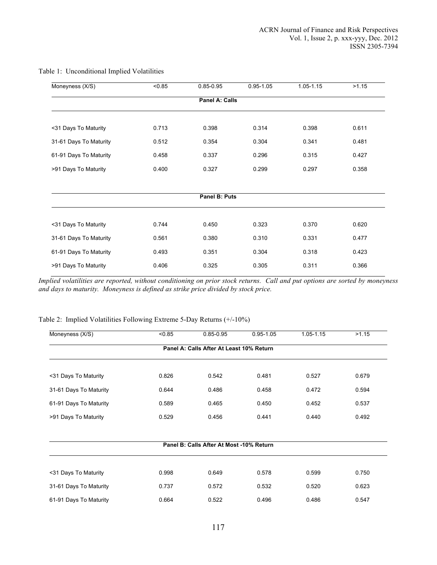| Moneyness (X/S)        | < 0.85 | $0.85 - 0.95$  | $0.95 - 1.05$ | 1.05-1.15 | >1.15 |
|------------------------|--------|----------------|---------------|-----------|-------|
|                        |        | Panel A: Calls |               |           |       |
|                        |        |                |               |           |       |
| <31 Days To Maturity   | 0.713  | 0.398          | 0.314         | 0.398     | 0.611 |
| 31-61 Days To Maturity | 0.512  | 0.354          | 0.304         | 0.341     | 0.481 |
| 61-91 Days To Maturity | 0.458  | 0.337          | 0.296         | 0.315     | 0.427 |
| >91 Days To Maturity   | 0.400  | 0.327          | 0.299         | 0.297     | 0.358 |
|                        |        |                |               |           |       |
|                        |        | Panel B: Puts  |               |           |       |
| <31 Days To Maturity   | 0.744  | 0.450          | 0.323         | 0.370     | 0.620 |
| 31-61 Days To Maturity | 0.561  | 0.380          | 0.310         | 0.331     | 0.477 |
| 61-91 Days To Maturity | 0.493  | 0.351          | 0.304         | 0.318     | 0.423 |
| >91 Days To Maturity   | 0.406  | 0.325          | 0.305         | 0.311     | 0.366 |

#### Table 1: Unconditional Implied Volatilities

*Implied volatilities are reported, without conditioning on prior stock returns. Call and put options are sorted by moneyness and days to maturity. Moneyness is defined as strike price divided by stock price.*

#### Table 2: Implied Volatilities Following Extreme 5-Day Returns (+/-10%)

| Moneyness (X/S)        | < 0.85 | $0.85 - 0.95$                            | $0.95 - 1.05$ | 1.05-1.15 | >1.15 |
|------------------------|--------|------------------------------------------|---------------|-----------|-------|
|                        |        | Panel A: Calls After At Least 10% Return |               |           |       |
|                        |        |                                          |               |           |       |
| <31 Days To Maturity   | 0.826  | 0.542                                    | 0.481         | 0.527     | 0.679 |
| 31-61 Days To Maturity | 0.644  | 0.486                                    | 0.458         | 0.472     | 0.594 |
| 61-91 Days To Maturity | 0.589  | 0.465                                    | 0.450         | 0.452     | 0.537 |
| >91 Days To Maturity   | 0.529  | 0.456                                    | 0.441         | 0.440     | 0.492 |
|                        |        |                                          |               |           |       |
|                        |        | Panel B: Calls After At Most -10% Return |               |           |       |
|                        |        |                                          |               |           |       |
| <31 Days To Maturity   | 0.998  | 0.649                                    | 0.578         | 0.599     | 0.750 |
| 31-61 Days To Maturity | 0.737  | 0.572                                    | 0.532         | 0.520     | 0.623 |
| 61-91 Days To Maturity | 0.664  | 0.522                                    | 0.496         | 0.486     | 0.547 |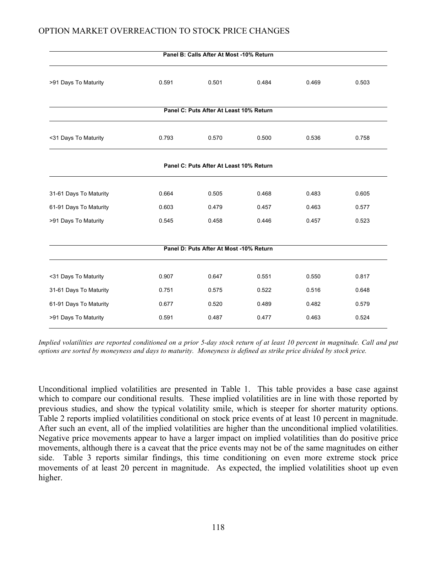|                        |       | Panel B: Calls After At Most -10% Return |       |       |       |
|------------------------|-------|------------------------------------------|-------|-------|-------|
| >91 Days To Maturity   | 0.591 | 0.501                                    | 0.484 | 0.469 | 0.503 |
|                        |       | Panel C: Puts After At Least 10% Return  |       |       |       |
| <31 Days To Maturity   | 0.793 | 0.570                                    | 0.500 | 0.536 | 0.758 |
|                        |       | Panel C: Puts After At Least 10% Return  |       |       |       |
| 31-61 Days To Maturity | 0.664 | 0.505                                    | 0.468 | 0.483 | 0.605 |
| 61-91 Days To Maturity | 0.603 | 0.479                                    | 0.457 | 0.463 | 0.577 |
| >91 Days To Maturity   | 0.545 | 0.458                                    | 0.446 | 0.457 | 0.523 |
|                        |       | Panel D: Puts After At Most -10% Return  |       |       |       |
| <31 Days To Maturity   | 0.907 | 0.647                                    | 0.551 | 0.550 | 0.817 |
| 31-61 Days To Maturity | 0.751 | 0.575                                    | 0.522 | 0.516 | 0.648 |
| 61-91 Days To Maturity | 0.677 | 0.520                                    | 0.489 | 0.482 | 0.579 |
| >91 Days To Maturity   | 0.591 | 0.487                                    | 0.477 | 0.463 | 0.524 |

*Implied volatilities are reported conditioned on a prior 5-day stock return of at least 10 percent in magnitude. Call and put options are sorted by moneyness and days to maturity. Moneyness is defined as strike price divided by stock price.* 

Unconditional implied volatilities are presented in Table 1. This table provides a base case against which to compare our conditional results. These implied volatilities are in line with those reported by previous studies, and show the typical volatility smile, which is steeper for shorter maturity options. Table 2 reports implied volatilities conditional on stock price events of at least 10 percent in magnitude. After such an event, all of the implied volatilities are higher than the unconditional implied volatilities. Negative price movements appear to have a larger impact on implied volatilities than do positive price movements, although there is a caveat that the price events may not be of the same magnitudes on either side. Table 3 reports similar findings, this time conditioning on even more extreme stock price movements of at least 20 percent in magnitude. As expected, the implied volatilities shoot up even higher.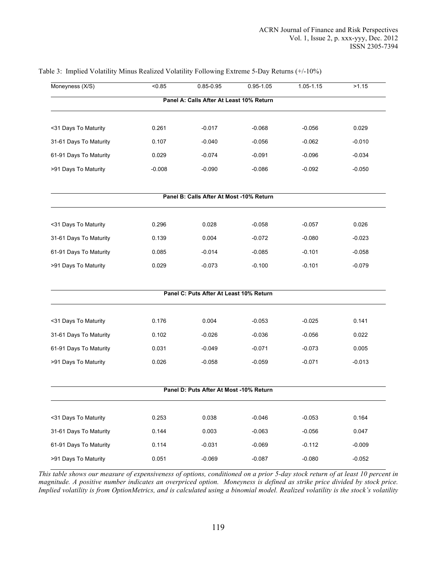| Moneyness (X/S)        | < 0.85   | $0.85 - 0.95$                            | $0.95 - 1.05$ | 1.05-1.15 | >1.15    |
|------------------------|----------|------------------------------------------|---------------|-----------|----------|
|                        |          | Panel A: Calls After At Least 10% Return |               |           |          |
| <31 Days To Maturity   | 0.261    | $-0.017$                                 | $-0.068$      | $-0.056$  | 0.029    |
| 31-61 Days To Maturity | 0.107    | $-0.040$                                 | $-0.056$      | $-0.062$  | $-0.010$ |
| 61-91 Days To Maturity | 0.029    | $-0.074$                                 | $-0.091$      | $-0.096$  | $-0.034$ |
| >91 Days To Maturity   | $-0.008$ | $-0.090$                                 | $-0.086$      | $-0.092$  | $-0.050$ |
|                        |          | Panel B: Calls After At Most -10% Return |               |           |          |
| <31 Days To Maturity   | 0.296    | 0.028                                    | $-0.058$      | $-0.057$  | 0.026    |
| 31-61 Days To Maturity | 0.139    | 0.004                                    | $-0.072$      | $-0.080$  | $-0.023$ |
| 61-91 Days To Maturity | 0.085    | $-0.014$                                 | $-0.085$      | $-0.101$  | $-0.058$ |
| >91 Days To Maturity   | 0.029    | $-0.073$                                 | $-0.100$      | $-0.101$  | $-0.079$ |
|                        |          | Panel C: Puts After At Least 10% Return  |               |           |          |
| <31 Days To Maturity   | 0.176    | 0.004                                    | $-0.053$      | $-0.025$  | 0.141    |
| 31-61 Days To Maturity | 0.102    | $-0.026$                                 | $-0.036$      | $-0.056$  | 0.022    |
| 61-91 Days To Maturity | 0.031    | $-0.049$                                 | $-0.071$      | $-0.073$  | 0.005    |
| >91 Days To Maturity   | 0.026    | $-0.058$                                 | $-0.059$      | $-0.071$  | $-0.013$ |
|                        |          | Panel D: Puts After At Most -10% Return  |               |           |          |
| <31 Days To Maturity   | 0.253    | 0.038                                    | $-0.046$      | $-0.053$  | 0.164    |
| 31-61 Days To Maturity | 0.144    | 0.003                                    | $-0.063$      | $-0.056$  | 0.047    |
| 61-91 Days To Maturity | 0.114    | $-0.031$                                 | $-0.069$      | $-0.112$  | $-0.009$ |
| >91 Days To Maturity   | 0.051    | $-0.069$                                 | $-0.087$      | $-0.080$  | $-0.052$ |

#### Table 3: Implied Volatility Minus Realized Volatility Following Extreme 5-Day Returns (+/-10%)

*This table shows our measure of expensiveness of options, conditioned on a prior 5-day stock return of at least 10 percent in magnitude. A positive number indicates an overpriced option. Moneyness is defined as strike price divided by stock price. Implied volatility is from OptionMetrics, and is calculated using a binomial model. Realized volatility is the stock's volatility*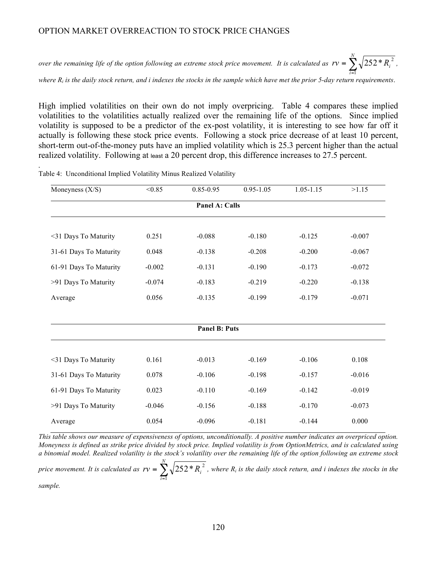*over the remaining life of the option following an extreme stock price movement. It is calculated as*  $rv = \sum_{i=1}^{r}$ *N i*  $rv = \sum_{i} \sqrt{252 * R_i}$ 1  $252 * R_i^2$ ,

*where Ri is the daily stock return, and i indexes the stocks in the sample which have met the prior 5-day return requirements*.

High implied volatilities on their own do not imply overpricing. Table 4 compares these implied volatilities to the volatilities actually realized over the remaining life of the options. Since implied volatility is supposed to be a predictor of the ex-post volatility, it is interesting to see how far off it actually is following these stock price events. Following a stock price decrease of at least 10 percent, short-term out-of-the-money puts have an implied volatility which is 25.3 percent higher than the actual realized volatility. Following at least a 20 percent drop, this difference increases to 27.5 percent.

| Moneyness $(X/S)$      | < 0.85   | $0.85 - 0.95$        | $0.95 - 1.05$ | $1.05 - 1.15$ | >1.15    |
|------------------------|----------|----------------------|---------------|---------------|----------|
|                        |          | Panel A: Calls       |               |               |          |
|                        |          |                      |               |               |          |
| <31 Days To Maturity   | 0.251    | $-0.088$             | $-0.180$      | $-0.125$      | $-0.007$ |
| 31-61 Days To Maturity | 0.048    | $-0.138$             | $-0.208$      | $-0.200$      | $-0.067$ |
| 61-91 Days To Maturity | $-0.002$ | $-0.131$             | $-0.190$      | $-0.173$      | $-0.072$ |
| >91 Days To Maturity   | $-0.074$ | $-0.183$             | $-0.219$      | $-0.220$      | $-0.138$ |
| Average                | 0.056    | $-0.135$             | $-0.199$      | $-0.179$      | $-0.071$ |
|                        |          |                      |               |               |          |
|                        |          | <b>Panel B: Puts</b> |               |               |          |
|                        |          |                      |               |               |          |
| <31 Days To Maturity   | 0.161    | $-0.013$             | $-0.169$      | $-0.106$      | 0.108    |
| 31-61 Days To Maturity | 0.078    | $-0.106$             | $-0.198$      | $-0.157$      | $-0.016$ |
| 61-91 Days To Maturity | 0.023    | $-0.110$             | $-0.169$      | $-0.142$      | $-0.019$ |
| >91 Days To Maturity   | $-0.046$ | $-0.156$             | $-0.188$      | $-0.170$      | $-0.073$ |
| Average                | 0.054    | $-0.096$             | $-0.181$      | $-0.144$      | 0.000    |

Table 4: Unconditional Implied Volatility Minus Realized Volatility

*This table shows our measure of expensiveness of options, unconditionally. A positive number indicates an overpriced option. Moneyness is defined as strike price divided by stock price. Implied volatility is from OptionMetrics, and is calculated using a binomial model. Realized volatility is the stock's volatility over the remaining life of the option following an extreme stock* 

*price movement. It is calculated as*  $rv = \sum_{i=1}^{r}$ *N i*  $rv = \sum_{i} \sqrt{252 * R_{i}}$ 1  $252$ <sup>\*</sup>  $R_i^2$ , where  $R_i$  is the daily stock return, and i indexes the stocks in the

*sample.*

*.*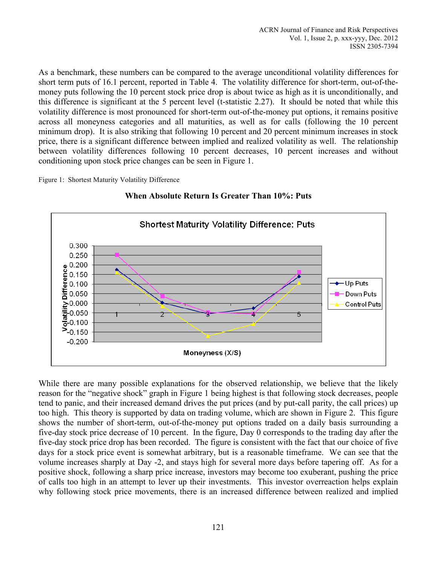As a benchmark, these numbers can be compared to the average unconditional volatility differences for short term puts of 16.1 percent, reported in Table 4. The volatility difference for short-term, out-of-themoney puts following the 10 percent stock price drop is about twice as high as it is unconditionally, and this difference is significant at the 5 percent level (t-statistic 2.27). It should be noted that while this volatility difference is most pronounced for short-term out-of-the-money put options, it remains positive across all moneyness categories and all maturities, as well as for calls (following the 10 percent minimum drop). It is also striking that following 10 percent and 20 percent minimum increases in stock price, there is a significant difference between implied and realized volatility as well. The relationship between volatility differences following 10 percent decreases, 10 percent increases and without conditioning upon stock price changes can be seen in Figure 1.

Figure 1: Shortest Maturity Volatility Difference



**When Absolute Return Is Greater Than 10%: Puts**

While there are many possible explanations for the observed relationship, we believe that the likely reason for the "negative shock" graph in Figure 1 being highest is that following stock decreases, people tend to panic, and their increased demand drives the put prices (and by put-call parity, the call prices) up too high. This theory is supported by data on trading volume, which are shown in Figure 2. This figure shows the number of short-term, out-of-the-money put options traded on a daily basis surrounding a five-day stock price decrease of 10 percent. In the figure, Day 0 corresponds to the trading day after the five-day stock price drop has been recorded. The figure is consistent with the fact that our choice of five days for a stock price event is somewhat arbitrary, but is a reasonable timeframe. We can see that the volume increases sharply at Day -2, and stays high for several more days before tapering off. As for a positive shock, following a sharp price increase, investors may become too exuberant, pushing the price of calls too high in an attempt to lever up their investments. This investor overreaction helps explain why following stock price movements, there is an increased difference between realized and implied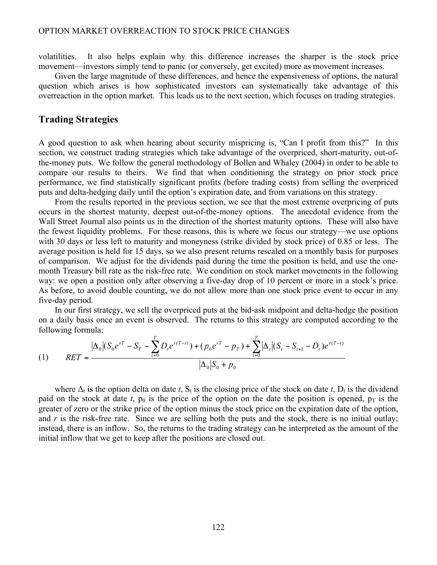volatilities. It also helps explain why this difference increases the sharper is the stock price movement—investors simply tend to panic (or conversely, get excited) more as movement increases.

Given the large magnitude of these differences, and hence the expensiveness of options, the natural question which arises is how sophisticated investors can systematically take advantage of this overreaction in the option market. This leads us to the next section, which focuses on trading strategies.

### **Trading Strategies**

A good question to ask when hearing about security mispricing is, "Can I profit from this?" In this section, we construct trading strategies which take advantage of the overpriced, short-maturity, out-ofthe-money puts. We follow the general methodology of Bollen and Whaley (2004) in order to be able to compare our results to theirs. We find that when conditioning the strategy on prior stock price performance, we find statistically significant profits (before trading costs) from selling the overpriced puts and delta-hedging daily until the option's expiration date, and from variations on this strategy.

From the results reported in the previous section, we see that the most extreme overpricing of puts occurs in the shortest maturity, deepest out-of-the-money options. The anecdotal evidence from the Wall Street Journal also points us in the direction of the shortest maturity options. These will also have the fewest liquidity problems. For these reasons, this is where we focus our strategy—we use options with 30 days or less left to maturity and moneyness (strike divided by stock price) of 0.85 or less. The average position is held for 15 days, so we also present returns rescaled on a monthly basis for purposes of comparison. We adjust for the dividends paid during the time the position is held, and use the onemonth Treasury bill rate as the risk-free rate. We condition on stock market movements in the following way: we open a position only after observing a five-day drop of 10 percent or more in a stock's price. As before, to avoid double counting, we do not allow more than one stock price event to occur in any five-day period.

In our first strategy, we sell the overpriced puts at the bid-ask midpoint and delta-hedge the position on a daily basis once an event is observed. The returns to this strategy are computed according to the following formula:

(1) 
$$
RET = \frac{|\Delta_0| (S_0 e^{rT} - S_T - \sum_{t=0}^T D_t e^{r(T-t)}) + (p_0 e^{rT} - p_T) + \sum_{t=0}^T |\Delta_t| (S_t - S_{t+1} - D_t) e^{r(T-t)}}{|\Delta_0| S_0 + p_0}
$$

where  $\Delta_t$  is the option delta on date *t*,  $S_t$  is the closing price of the stock on date *t*,  $D_t$  is the dividend paid on the stock at date *t*,  $p_0$  is the price of the option on the date the position is opened,  $p_T$  is the greater of zero or the strike price of the option minus the stock price on the expiration date of the option, and  $r$  is the risk-free rate. Since we are selling both the puts and the stock, there is no initial outlay; instead, there is an inflow. So, the returns to the trading strategy can be interpreted as the amount of the initial inflow that we get to keep after the positions are closed out.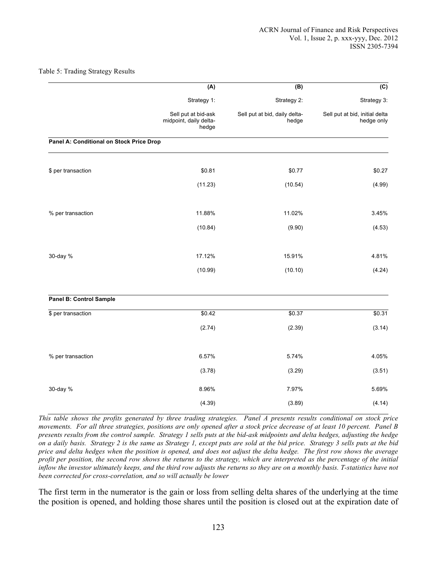#### Table 5: Trading Strategy Results

|                                          | (A)                                                    | (B)                                    | (C)                                          |
|------------------------------------------|--------------------------------------------------------|----------------------------------------|----------------------------------------------|
|                                          | Strategy 1:                                            | Strategy 2:                            | Strategy 3:                                  |
|                                          | Sell put at bid-ask<br>midpoint, daily delta-<br>hedge | Sell put at bid, daily delta-<br>hedge | Sell put at bid, initial delta<br>hedge only |
| Panel A: Conditional on Stock Price Drop |                                                        |                                        |                                              |
| \$ per transaction                       | \$0.81                                                 | \$0.77                                 | \$0.27                                       |
|                                          | (11.23)                                                | (10.54)                                | (4.99)                                       |
| % per transaction                        | 11.88%                                                 | 11.02%                                 | 3.45%                                        |
|                                          | (10.84)                                                | (9.90)                                 | (4.53)                                       |
| 30-day %                                 | 17.12%                                                 | 15.91%                                 | 4.81%                                        |
|                                          | (10.99)                                                | (10.10)                                | (4.24)                                       |
| <b>Panel B: Control Sample</b>           |                                                        |                                        |                                              |
| \$ per transaction                       | $\sqrt{$0.42}$                                         | \$0.37                                 | \$0.31                                       |
|                                          | (2.74)                                                 | (2.39)                                 | (3.14)                                       |
| % per transaction                        | 6.57%                                                  | 5.74%                                  | 4.05%                                        |
|                                          | (3.78)                                                 | (3.29)                                 | (3.51)                                       |
| 30-day %                                 | 8.96%                                                  | 7.97%                                  | 5.69%                                        |
|                                          | (4.39)                                                 | (3.89)                                 | (4.14)                                       |

*This table shows the profits generated by three trading strategies. Panel A presents results conditional on stock price movements. For all three strategies, positions are only opened after a stock price decrease of at least 10 percent. Panel B presents results from the control sample. Strategy 1 sells puts at the bid-ask midpoints and delta hedges, adjusting the hedge on a daily basis. Strategy 2 is the same as Strategy 1, except puts are sold at the bid price. Strategy 3 sells puts at the bid price and delta hedges when the position is opened, and does not adjust the delta hedge. The first row shows the average profit per position, the second row shows the returns to the strategy, which are interpreted as the percentage of the initial inflow the investor ultimately keeps, and the third row adjusts the returns so they are on a monthly basis. T-statistics have not been corrected for cross-correlation, and so will actually be lower*

The first term in the numerator is the gain or loss from selling delta shares of the underlying at the time the position is opened, and holding those shares until the position is closed out at the expiration date of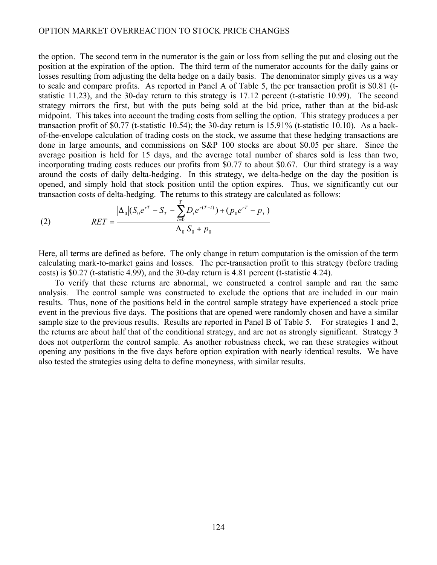the option. The second term in the numerator is the gain or loss from selling the put and closing out the position at the expiration of the option. The third term of the numerator accounts for the daily gains or losses resulting from adjusting the delta hedge on a daily basis. The denominator simply gives us a way to scale and compare profits. As reported in Panel A of Table 5, the per transaction profit is \$0.81 (tstatistic 11.23), and the 30-day return to this strategy is 17.12 percent (t-statistic 10.99). The second strategy mirrors the first, but with the puts being sold at the bid price, rather than at the bid-ask midpoint. This takes into account the trading costs from selling the option. This strategy produces a per transaction profit of \$0.77 (t-statistic 10.54); the 30-day return is 15.91% (t-statistic 10.10). As a backof-the-envelope calculation of trading costs on the stock, we assume that these hedging transactions are done in large amounts, and commissions on S&P 100 stocks are about \$0.05 per share. Since the average position is held for 15 days, and the average total number of shares sold is less than two, incorporating trading costs reduces our profits from \$0.77 to about \$0.67. Our third strategy is a way around the costs of daily delta-hedging. In this strategy, we delta-hedge on the day the position is opened, and simply hold that stock position until the option expires. Thus, we significantly cut our transaction costs of delta-hedging. The returns to this strategy are calculated as follows:

(2) 
$$
RET = \frac{|\Delta_0| (S_0 e^{rT} - S_T - \sum_{t=0}^T D_t e^{r(T-t)}) + (p_0 e^{rT} - p_T)}{|\Delta_0| S_0 + p_0}
$$

Here, all terms are defined as before. The only change in return computation is the omission of the term calculating mark-to-market gains and losses. The per-transaction profit to this strategy (before trading costs) is \$0.27 (t-statistic 4.99), and the 30-day return is 4.81 percent (t-statistic 4.24).

To verify that these returns are abnormal, we constructed a control sample and ran the same analysis. The control sample was constructed to exclude the options that are included in our main results. Thus, none of the positions held in the control sample strategy have experienced a stock price event in the previous five days. The positions that are opened were randomly chosen and have a similar sample size to the previous results. Results are reported in Panel B of Table 5. For strategies 1 and 2, the returns are about half that of the conditional strategy, and are not as strongly significant. Strategy 3 does not outperform the control sample. As another robustness check, we ran these strategies without opening any positions in the five days before option expiration with nearly identical results. We have also tested the strategies using delta to define moneyness, with similar results.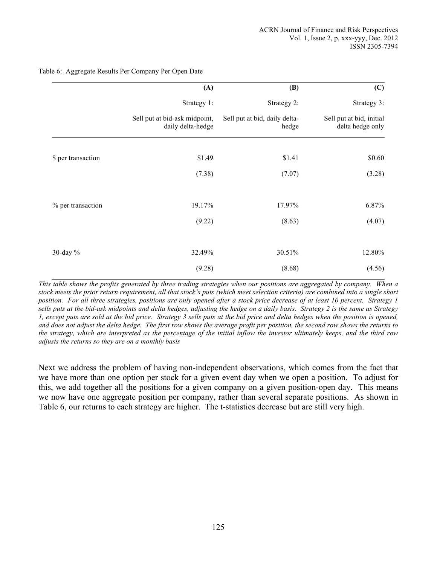|                    | (A)                                                | (B)                                    | (C)                                          |
|--------------------|----------------------------------------------------|----------------------------------------|----------------------------------------------|
|                    | Strategy 1:                                        | Strategy 2:                            | Strategy 3:                                  |
|                    | Sell put at bid-ask midpoint,<br>daily delta-hedge | Sell put at bid, daily delta-<br>hedge | Sell put at bid, initial<br>delta hedge only |
| \$ per transaction | \$1.49                                             | \$1.41                                 | \$0.60                                       |
|                    | (7.38)                                             | (7.07)                                 | (3.28)                                       |
| % per transaction  | 19.17%                                             | 17.97%                                 | 6.87%                                        |
|                    | (9.22)                                             | (8.63)                                 | (4.07)                                       |
| 30-day $%$         | 32.49%                                             | 30.51%                                 | 12.80%                                       |
|                    | (9.28)                                             | (8.68)                                 | (4.56)                                       |

Table 6: Aggregate Results Per Company Per Open Date

*This table shows the profits generated by three trading strategies when our positions are aggregated by company. When a stock meets the prior return requirement, all that stock's puts (which meet selection criteria) are combined into a single short position. For all three strategies, positions are only opened after a stock price decrease of at least 10 percent. Strategy 1 sells puts at the bid-ask midpoints and delta hedges, adjusting the hedge on a daily basis. Strategy 2 is the same as Strategy 1, except puts are sold at the bid price. Strategy 3 sells puts at the bid price and delta hedges when the position is opened, and does not adjust the delta hedge. The first row shows the average profit per position, the second row shows the returns to the strategy, which are interpreted as the percentage of the initial inflow the investor ultimately keeps, and the third row adjusts the returns so they are on a monthly basis*

Next we address the problem of having non-independent observations, which comes from the fact that we have more than one option per stock for a given event day when we open a position. To adjust for this, we add together all the positions for a given company on a given position-open day. This means we now have one aggregate position per company, rather than several separate positions. As shown in Table 6, our returns to each strategy are higher. The t-statistics decrease but are still very high.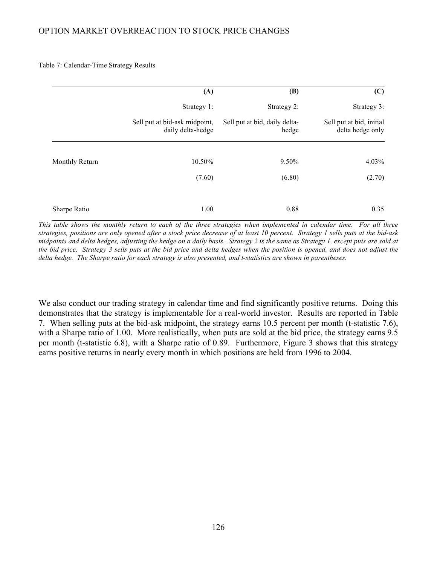Table 7: Calendar-Time Strategy Results

|                | (A)                                                | (B)                                    | (C)                                          |
|----------------|----------------------------------------------------|----------------------------------------|----------------------------------------------|
|                | Strategy 1:                                        | Strategy 2:                            | Strategy 3:                                  |
|                | Sell put at bid-ask midpoint,<br>daily delta-hedge | Sell put at bid, daily delta-<br>hedge | Sell put at bid, initial<br>delta hedge only |
|                |                                                    |                                        |                                              |
| Monthly Return | 10.50%                                             | 9.50%                                  | 4.03%                                        |
|                | (7.60)                                             | (6.80)                                 | (2.70)                                       |
|                |                                                    |                                        |                                              |
| Sharpe Ratio   | 1.00                                               | 0.88                                   | 0.35                                         |

*This table shows the monthly return to each of the three strategies when implemented in calendar time. For all three strategies, positions are only opened after a stock price decrease of at least 10 percent. Strategy 1 sells puts at the bid-ask midpoints and delta hedges, adjusting the hedge on a daily basis. Strategy 2 is the same as Strategy 1, except puts are sold at the bid price. Strategy 3 sells puts at the bid price and delta hedges when the position is opened, and does not adjust the delta hedge. The Sharpe ratio for each strategy is also presented, and t-statistics are shown in parentheses.*

We also conduct our trading strategy in calendar time and find significantly positive returns. Doing this demonstrates that the strategy is implementable for a real-world investor. Results are reported in Table 7. When selling puts at the bid-ask midpoint, the strategy earns 10.5 percent per month (t-statistic 7.6), with a Sharpe ratio of 1.00. More realistically, when puts are sold at the bid price, the strategy earns 9.5 per month (t-statistic 6.8), with a Sharpe ratio of 0.89. Furthermore, Figure 3 shows that this strategy earns positive returns in nearly every month in which positions are held from 1996 to 2004.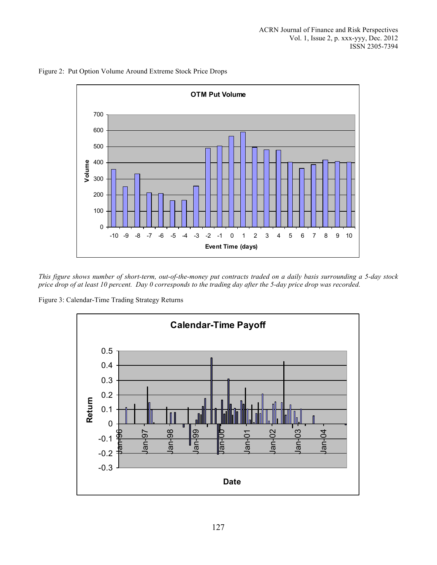

Figure 2: Put Option Volume Around Extreme Stock Price Drops

*This figure shows number of short-term, out-of-the-money put contracts traded on a daily basis surrounding a 5-day stock price drop of at least 10 percent. Day 0 corresponds to the trading day after the 5-day price drop was recorded.*

Figure 3: Calendar-Time Trading Strategy Returns

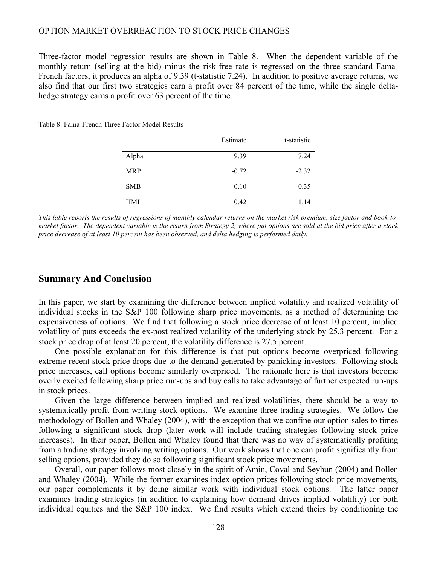Three-factor model regression results are shown in Table 8. When the dependent variable of the monthly return (selling at the bid) minus the risk-free rate is regressed on the three standard Fama-French factors, it produces an alpha of 9.39 (t-statistic 7.24). In addition to positive average returns, we also find that our first two strategies earn a profit over 84 percent of the time, while the single deltahedge strategy earns a profit over 63 percent of the time.

|            | Estimate | t-statistic |
|------------|----------|-------------|
| Alpha      | 9.39     | 7.24        |
| <b>MRP</b> | $-0.72$  | $-2.32$     |
| <b>SMB</b> | 0.10     | 0.35        |
| <b>HML</b> | 0.42     | 1.14        |

Table 8: Fama-French Three Factor Model Results

*This table reports the results of regressions of monthly calendar returns on the market risk premium, size factor and book-tomarket factor. The dependent variable is the return from Strategy 2, where put options are sold at the bid price after a stock price decrease of at least 10 percent has been observed, and delta hedging is performed daily.*

#### **Summary And Conclusion**

In this paper, we start by examining the difference between implied volatility and realized volatility of individual stocks in the S&P 100 following sharp price movements, as a method of determining the expensiveness of options. We find that following a stock price decrease of at least 10 percent, implied volatility of puts exceeds the ex-post realized volatility of the underlying stock by 25.3 percent. For a stock price drop of at least 20 percent, the volatility difference is 27.5 percent.

One possible explanation for this difference is that put options become overpriced following extreme recent stock price drops due to the demand generated by panicking investors. Following stock price increases, call options become similarly overpriced. The rationale here is that investors become overly excited following sharp price run-ups and buy calls to take advantage of further expected run-ups in stock prices.

Given the large difference between implied and realized volatilities, there should be a way to systematically profit from writing stock options. We examine three trading strategies. We follow the methodology of Bollen and Whaley (2004), with the exception that we confine our option sales to times following a significant stock drop (later work will include trading strategies following stock price increases). In their paper, Bollen and Whaley found that there was no way of systematically profiting from a trading strategy involving writing options. Our work shows that one can profit significantly from selling options, provided they do so following significant stock price movements.

Overall, our paper follows most closely in the spirit of Amin, Coval and Seyhun (2004) and Bollen and Whaley (2004). While the former examines index option prices following stock price movements, our paper complements it by doing similar work with individual stock options. The latter paper examines trading strategies (in addition to explaining how demand drives implied volatility) for both individual equities and the S&P 100 index. We find results which extend theirs by conditioning the